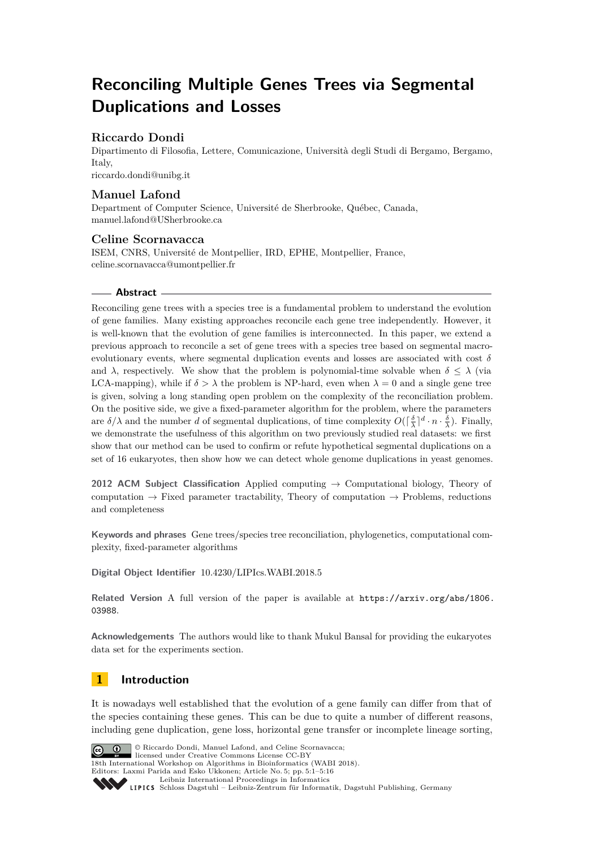# **Reconciling Multiple Genes Trees via Segmental Duplications and Losses**

# **Riccardo Dondi**

Dipartimento di Filosofia, Lettere, Comunicazione, Università degli Studi di Bergamo, Bergamo, Italy, [riccardo.dondi@unibg.it](mailto:riccardo.dondi@unibg.it)

# **Manuel Lafond**

Department of Computer Science, Université de Sherbrooke, Québec, Canada, [manuel.lafond@USherbrooke.ca](mailto:manuel.lafond@USherbrooke.ca)

# **Celine Scornavacca**

ISEM, CNRS, Université de Montpellier, IRD, EPHE, Montpellier, France, [celine.scornavacca@umontpellier.fr](mailto:celine.scornavacca@umontpellier.fr)

## **Abstract**

Reconciling gene trees with a species tree is a fundamental problem to understand the evolution of gene families. Many existing approaches reconcile each gene tree independently. However, it is well-known that the evolution of gene families is interconnected. In this paper, we extend a previous approach to reconcile a set of gene trees with a species tree based on segmental macroevolutionary events, where segmental duplication events and losses are associated with cost  $\delta$ and  $\lambda$ , respectively. We show that the problem is polynomial-time solvable when  $\delta \leq \lambda$  (via LCA-mapping), while if  $\delta > \lambda$  the problem is NP-hard, even when  $\lambda = 0$  and a single gene tree is given, solving a long standing open problem on the complexity of the reconciliation problem. On the positive side, we give a fixed-parameter algorithm for the problem, where the parameters are  $\delta/\lambda$  and the number *d* of segmental duplications, of time complexity  $O(\lceil \frac{\delta}{\lambda} \rceil^d \cdot n \cdot \frac{\delta}{\lambda})$ . Finally, we demonstrate the usefulness of this algorithm on two previously studied real datasets: we first show that our method can be used to confirm or refute hypothetical segmental duplications on a set of 16 eukaryotes, then show how we can detect whole genome duplications in yeast genomes.

**2012 ACM Subject Classification** Applied computing → Computational biology, Theory of computation  $\rightarrow$  Fixed parameter tractability, Theory of computation  $\rightarrow$  Problems, reductions and completeness

**Keywords and phrases** Gene trees/species tree reconciliation, phylogenetics, computational complexity, fixed-parameter algorithms

**Digital Object Identifier** [10.4230/LIPIcs.WABI.2018.5](http://dx.doi.org/10.4230/LIPIcs.WABI.2018.5)

**Related Version** A full version of the paper is available at [https://arxiv.org/abs/1806.](https://arxiv.org/abs/1806.03988) [03988](https://arxiv.org/abs/1806.03988).

**Acknowledgements** The authors would like to thank Mukul Bansal for providing the eukaryotes data set for the experiments section.

# **1 Introduction**

It is nowadays well established that the evolution of a gene family can differ from that of the species containing these genes. This can be due to quite a number of different reasons, including gene duplication, gene loss, horizontal gene transfer or incomplete lineage sorting,



© Riccardo Dondi, Manuel Lafond, and Celine Scornavacca;  $\boxed{6}$  0 licensed under Creative Commons License CC-BY 18th International Workshop on Algorithms in Bioinformatics (WABI 2018). Editors: Laxmi Parida and Esko Ukkonen; Article No. 5; pp. 5:1–5[:16](#page-15-0)

[Leibniz International Proceedings in Informatics](http://www.dagstuhl.de/lipics/)

Leibniz international Floretungs in missimosische Publishing, Germany<br>LIPICS [Schloss Dagstuhl – Leibniz-Zentrum für Informatik, Dagstuhl Publishing, Germany](http://www.dagstuhl.de)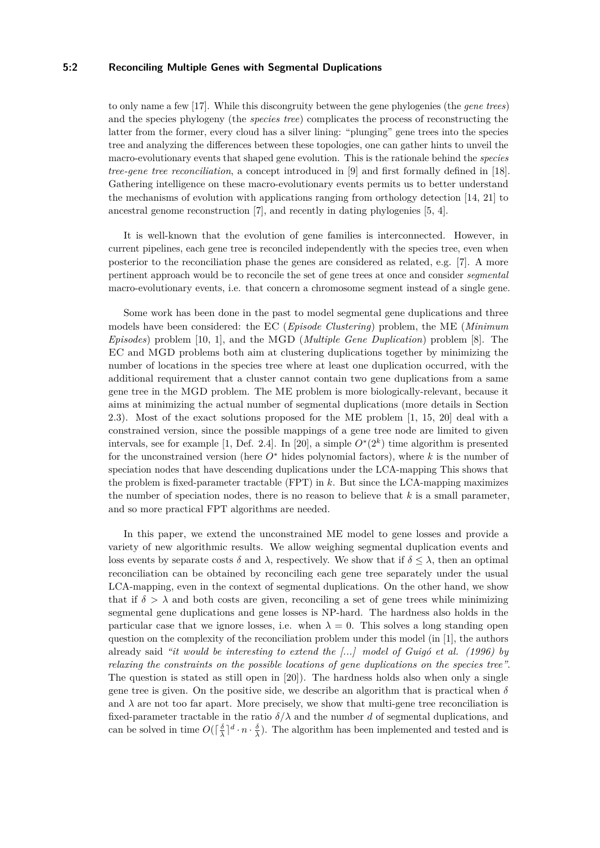## **5:2 Reconciling Multiple Genes with Segmental Duplications**

to only name a few [\[17\]](#page-15-1). While this discongruity between the gene phylogenies (the *gene trees*) and the species phylogeny (the *species tree*) complicates the process of reconstructing the latter from the former, every cloud has a silver lining: "plunging" gene trees into the species tree and analyzing the differences between these topologies, one can gather hints to unveil the macro-evolutionary events that shaped gene evolution. This is the rationale behind the *species tree-gene tree reconciliation*, a concept introduced in [\[9\]](#page-15-2) and first formally defined in [\[18\]](#page-15-3). Gathering intelligence on these macro-evolutionary events permits us to better understand the mechanisms of evolution with applications ranging from orthology detection [\[14,](#page-15-4) [21\]](#page-15-5) to ancestral genome reconstruction [\[7\]](#page-15-6), and recently in dating phylogenies [\[5,](#page-15-7) [4\]](#page-14-0).

It is well-known that the evolution of gene families is interconnected. However, in current pipelines, each gene tree is reconciled independently with the species tree, even when posterior to the reconciliation phase the genes are considered as related, e.g. [\[7\]](#page-15-6). A more pertinent approach would be to reconcile the set of gene trees at once and consider *segmental* macro-evolutionary events, i.e. that concern a chromosome segment instead of a single gene.

Some work has been done in the past to model segmental gene duplications and three models have been considered: the EC (*Episode Clustering*) problem, the ME (*Minimum Episodes*) problem [\[10,](#page-15-8) [1\]](#page-14-1), and the MGD (*Multiple Gene Duplication*) problem [\[8\]](#page-15-9). The EC and MGD problems both aim at clustering duplications together by minimizing the number of locations in the species tree where at least one duplication occurred, with the additional requirement that a cluster cannot contain two gene duplications from a same gene tree in the MGD problem. The ME problem is more biologically-relevant, because it aims at minimizing the actual number of segmental duplications (more details in Section [2.3\)](#page-3-0). Most of the exact solutions proposed for the ME problem [\[1,](#page-14-1) [15,](#page-15-10) [20\]](#page-15-11) deal with a constrained version, since the possible mappings of a gene tree node are limited to given intervals, see for example [\[1,](#page-14-1) Def. 2.4]. In [\[20\]](#page-15-11), a simple  $O^*(2^k)$  time algorithm is presented for the unconstrained version (here *O*<sup>∗</sup> hides polynomial factors), where *k* is the number of speciation nodes that have descending duplications under the LCA-mapping This shows that the problem is fixed-parameter tractable (FPT) in *k*. But since the LCA-mapping maximizes the number of speciation nodes, there is no reason to believe that *k* is a small parameter, and so more practical FPT algorithms are needed.

In this paper, we extend the unconstrained ME model to gene losses and provide a variety of new algorithmic results. We allow weighing segmental duplication events and loss events by separate costs  $\delta$  and  $\lambda$ , respectively. We show that if  $\delta \leq \lambda$ , then an optimal reconciliation can be obtained by reconciling each gene tree separately under the usual LCA-mapping, even in the context of segmental duplications. On the other hand, we show that if  $\delta > \lambda$  and both costs are given, reconciling a set of gene trees while minimizing segmental gene duplications and gene losses is NP-hard. The hardness also holds in the particular case that we ignore losses, i.e. when  $\lambda = 0$ . This solves a long standing open question on the complexity of the reconciliation problem under this model (in [\[1\]](#page-14-1), the authors already said *"it would be interesting to extend the [...] model of Guigó et al. (1996) by relaxing the constraints on the possible locations of gene duplications on the species tree"*. The question is stated as still open in [\[20\]](#page-15-11)). The hardness holds also when only a single gene tree is given. On the positive side, we describe an algorithm that is practical when  $\delta$ and  $\lambda$  are not too far apart. More precisely, we show that multi-gene tree reconciliation is fixed-parameter tractable in the ratio  $\delta/\lambda$  and the number *d* of segmental duplications, and can be solved in time  $O(\lceil \frac{\delta}{\lambda} \rceil^d \cdot n \cdot \frac{\delta}{\lambda})$ . The algorithm has been implemented and tested and is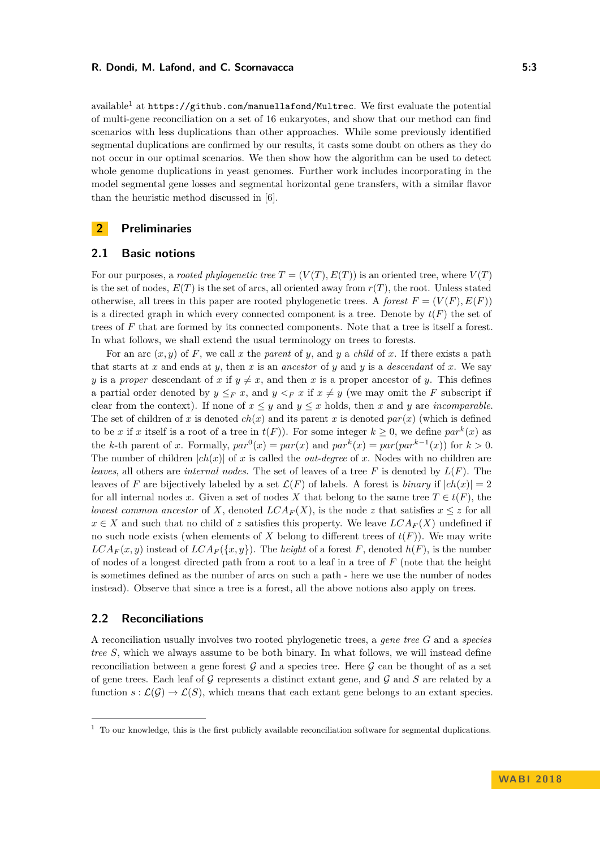available<sup>[1](#page-2-0)</sup> at  $https://github.com/manuellafond/Multrec.$  $https://github.com/manuellafond/Multrec.$  We first evaluate the potential of multi-gene reconciliation on a set of 16 eukaryotes, and show that our method can find scenarios with less duplications than other approaches. While some previously identified segmental duplications are confirmed by our results, it casts some doubt on others as they do not occur in our optimal scenarios. We then show how the algorithm can be used to detect whole genome duplications in yeast genomes. Further work includes incorporating in the model segmental gene losses and segmental horizontal gene transfers, with a similar flavor than the heuristic method discussed in [\[6\]](#page-15-12).

# **2 Preliminaries**

## **2.1 Basic notions**

For our purposes, a *rooted phylogenetic tree*  $T = (V(T), E(T))$  is an oriented tree, where  $V(T)$ is the set of nodes,  $E(T)$  is the set of arcs, all oriented away from  $r(T)$ , the root. Unless stated otherwise, all trees in this paper are rooted phylogenetic trees. A *forest*  $F = (V(F), E(F))$ is a directed graph in which every connected component is a tree. Denote by  $t(F)$  the set of trees of *F* that are formed by its connected components. Note that a tree is itself a forest. In what follows, we shall extend the usual terminology on trees to forests.

For an arc  $(x, y)$  of F, we call x the *parent* of y, and y a *child* of x. If there exists a path that starts at *x* and ends at *y*, then *x* is an *ancestor* of *y* and *y* is a *descendant* of *x*. We say *y* is a *proper* descendant of *x* if  $y \neq x$ , and then *x* is a proper ancestor of *y*. This defines a partial order denoted by  $y \leq_F x$ , and  $y \leq_F x$  if  $x \neq y$  (we may omit the *F* subscript if clear from the context). If none of  $x \leq y$  and  $y \leq x$  holds, then x and y are *incomparable*. The set of children of *x* is denoted  $ch(x)$  and its parent *x* is denoted  $par(x)$  (which is defined to be *x* if *x* itself is a root of a tree in  $t(F)$ ). For some integer  $k \geq 0$ , we define  $par^{k}(x)$  as the *k*-th parent of *x*. Formally,  $par^0(x) = par(x)$  and  $par^k(x) = par(par^{k-1}(x))$  for  $k > 0$ . The number of children  $|ch(x)|$  of x is called the *out-degree* of x. Nodes with no children are *leaves*, all others are *internal nodes*. The set of leaves of a tree *F* is denoted by *L*(*F*). The leaves of *F* are bijectively labeled by a set  $\mathcal{L}(F)$  of labels. A forest is *binary* if  $|ch(x)| = 2$ for all internal nodes *x*. Given a set of nodes *X* that belong to the same tree  $T \in t(F)$ , the *lowest common ancestor* of *X*, denoted  $LCA_F(X)$ , is the node *z* that satisfies  $x \leq z$  for all  $x \in X$  and such that no child of *z* satisfies this property. We leave  $LCA_F(X)$  undefined if no such node exists (when elements of *X* belong to different trees of  $t(F)$ ). We may write  $LCA_F(x, y)$  instead of  $LCA_F({x, y})$ . The *height* of a forest *F*, denoted  $h(F)$ , is the number of nodes of a longest directed path from a root to a leaf in a tree of *F* (note that the height is sometimes defined as the number of arcs on such a path - here we use the number of nodes instead). Observe that since a tree is a forest, all the above notions also apply on trees.

## **2.2 Reconciliations**

A reconciliation usually involves two rooted phylogenetic trees, a *gene tree G* and a *species tree S*, which we always assume to be both binary. In what follows, we will instead define reconciliation between a gene forest  $G$  and a species tree. Here  $G$  can be thought of as a set of gene trees. Each leaf of G represents a distinct extant gene, and G and *S* are related by a function  $s : \mathcal{L}(\mathcal{G}) \to \mathcal{L}(S)$ , which means that each extant gene belongs to an extant species.

<span id="page-2-0"></span><sup>&</sup>lt;sup>1</sup> To our knowledge, this is the first publicly available reconciliation software for segmental duplications.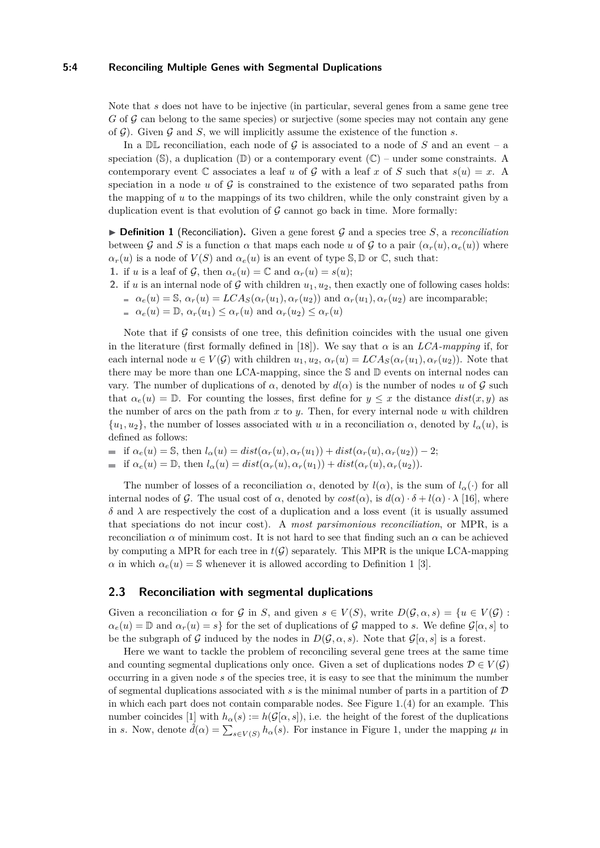#### **5:4 Reconciling Multiple Genes with Segmental Duplications**

Note that *s* does not have to be injective (in particular, several genes from a same gene tree *G* of G can belong to the same species) or surjective (some species may not contain any gene of G). Given G and *S*, we will implicitly assume the existence of the function *s*.

In a  $\mathbb{DL}$  reconciliation, each node of G is associated to a node of S and an event – a speciation  $(\mathbb{S})$ , a duplication  $(\mathbb{D})$  or a contemporary event  $(\mathbb{C})$  – under some constraints. A contemporary event C associates a leaf *u* of G with a leaf *x* of S such that  $s(u) = x$ . A speciation in a node  $u$  of  $\mathcal G$  is constrained to the existence of two separated paths from the mapping of *u* to the mappings of its two children, while the only constraint given by a duplication event is that evolution of  $G$  cannot go back in time. More formally:

<span id="page-3-1"></span>**Definition 1** (Reconciliation). Given a gene forest G and a species tree  $S$ , a *reconciliation* between G and S is a function  $\alpha$  that maps each node u of G to a pair  $(\alpha_r(u), \alpha_e(u))$  where  $\alpha_r(u)$  is a node of  $V(S)$  and  $\alpha_e(u)$  is an event of type S, D or C, such that:

- **1.** if *u* is a leaf of G, then  $\alpha_e(u) = \mathbb{C}$  and  $\alpha_r(u) = s(u);$
- **2.** if *u* is an internal node of G with children  $u_1, u_2$ , then exactly one of following cases holds:  $a_e(u) = \mathcal{S}, \, a_r(u) = LCA_S(a_r(u_1), a_r(u_2))$  and  $a_r(u_1), a_r(u_2)$  are incomparable;  $a_e(a) = \mathbb{D}, \alpha_r(u_1) \leq \alpha_r(u)$  and  $\alpha_r(u_2) \leq \alpha_r(u)$

Note that if  $\mathcal G$  consists of one tree, this definition coincides with the usual one given in the literature (first formally defined in [\[18\]](#page-15-3)). We say that  $\alpha$  is an *LCA-mapping* if, for each internal node  $u \in V(G)$  with children  $u_1, u_2, \alpha_r(u) = LCA_S(\alpha_r(u_1), \alpha_r(u_2))$ . Note that there may be more than one LCA-mapping, since the  $\mathcal S$  and  $\mathbb D$  events on internal nodes can vary. The number of duplications of *α*, denoted by *d*(*α*) is the number of nodes *u* of G such that  $\alpha_e(u) = \mathbb{D}$ . For counting the losses, first define for  $y \leq x$  the distance  $dist(x, y)$  as the number of arcs on the path from *x* to *y*. Then, for every internal node *u* with children  $\{u_1, u_2\}$ , the number of losses associated with *u* in a reconciliation  $\alpha$ , denoted by  $l_{\alpha}(u)$ , is defined as follows:

if  $\alpha_e(u) = \mathbb{S}$ , then  $l_\alpha(u) = dist(\alpha_r(u), \alpha_r(u_1)) + dist(\alpha_r(u), \alpha_r(u_2)) - 2;$ 

$$
if \alpha_e(u) = \mathbb{D}, then l_{\alpha}(u) = dist(\alpha_r(u), \alpha_r(u_1)) + dist(\alpha_r(u), \alpha_r(u_2)).
$$

The number of losses of a reconciliation  $\alpha$ , denoted by  $l(\alpha)$ , is the sum of  $l_{\alpha}(\cdot)$  for all internal nodes of G. The usual cost of  $\alpha$ , denoted by  $cost(\alpha)$ , is  $d(\alpha) \cdot \delta + l(\alpha) \cdot \lambda$  [\[16\]](#page-15-13), where  $\delta$  and  $\lambda$  are respectively the cost of a duplication and a loss event (it is usually assumed that speciations do not incur cost). A *most parsimonious reconciliation*, or MPR, is a reconciliation *α* of minimum cost. It is not hard to see that finding such an *α* can be achieved by computing a MPR for each tree in  $t(G)$  separately. This MPR is the unique LCA-mapping *α* in which  $\alpha_e(u) = \mathbb{S}$  whenever it is allowed according to Definition [1](#page-3-1) [\[3\]](#page-14-2).

## <span id="page-3-0"></span>**2.3 Reconciliation with segmental duplications**

Given a reconciliation  $\alpha$  for  $\mathcal{G}$  in *S*, and given  $s \in V(S)$ , write  $D(\mathcal{G}, \alpha, s) = \{u \in V(\mathcal{G}) :$  $\alpha_e(u) = \mathbb{D}$  and  $\alpha_r(u) = s$  for the set of duplications of G mapped to *s*. We define  $\mathcal{G}[\alpha, s]$  to be the subgraph of G induced by the nodes in  $D(\mathcal{G}, \alpha, s)$ . Note that  $\mathcal{G}[\alpha, s]$  is a forest.

Here we want to tackle the problem of reconciling several gene trees at the same time and counting segmental duplications only once. Given a set of duplications nodes  $\mathcal{D} \in V(\mathcal{G})$ occurring in a given node *s* of the species tree, it is easy to see that the minimum the number of segmental duplications associated with *s* is the minimal number of parts in a partition of D in which each part does not contain comparable nodes. See Figure [1.](#page-4-0)(4) for an example. This number coincides [\[1\]](#page-14-1) with  $h_{\alpha}(s) := h(\mathcal{G}[\alpha, s])$ , i.e. the height of the forest of the duplications in *s*. Now, denote  $\hat{d}(\alpha) = \sum_{s \in V(S)} h_{\alpha}(s)$ . For instance in Figure [1,](#page-4-0) under the mapping  $\mu$  in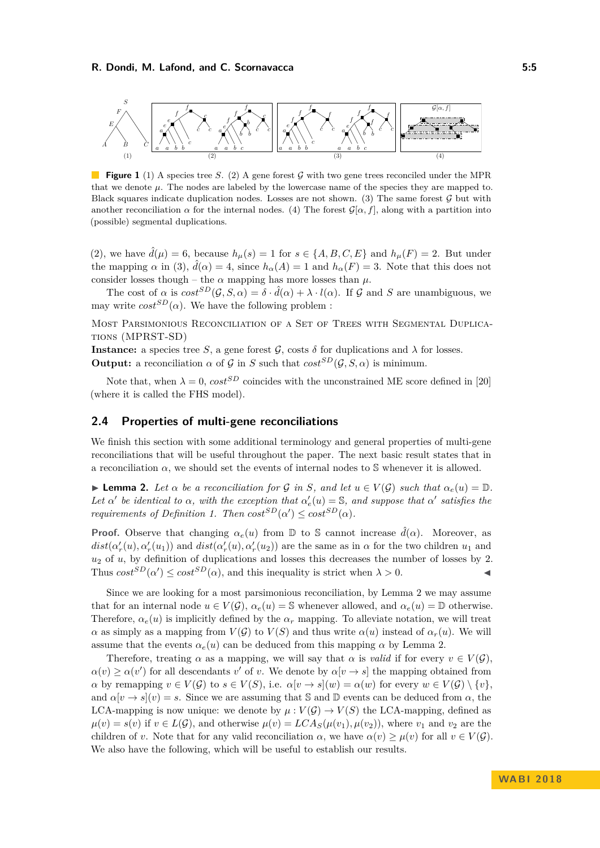<span id="page-4-0"></span>

**Figure 1** (1) A species tree *S*. (2) A gene forest G with two gene trees reconciled under the MPR that we denote  $\mu$ . The nodes are labeled by the lowercase name of the species they are mapped to. Black squares indicate duplication nodes. Losses are not shown. (3) The same forest  $\mathcal G$  but with another reconciliation  $\alpha$  for the internal nodes. (4) The forest  $\mathcal{G}[\alpha, f]$ , along with a partition into (possible) segmental duplications.

(2), we have  $\hat{d}(\mu) = 6$ , because  $h_{\mu}(s) = 1$  for  $s \in \{A, B, C, E\}$  and  $h_{\mu}(F) = 2$ . But under the mapping  $\alpha$  in (3),  $\hat{d}(\alpha) = 4$ , since  $h_{\alpha}(A) = 1$  and  $h_{\alpha}(F) = 3$ . Note that this does not consider losses though – the  $\alpha$  mapping has more losses than  $\mu$ .

The cost of  $\alpha$  is  $cost^{SD}(\mathcal{G}, S, \alpha) = \delta \cdot \hat{d}(\alpha) + \lambda \cdot l(\alpha)$ . If  $\mathcal G$  and  $S$  are unambiguous, we may write  $cost^{SD}(\alpha)$ . We have the following problem :

Most Parsimonious Reconciliation of a Set of Trees with Segmental Duplications (MPRST-SD)

**Instance:** a species tree *S*, a gene forest  $\mathcal{G}$ , costs  $\delta$  for duplications and  $\lambda$  for losses. **Output:** a reconciliation  $\alpha$  of  $\mathcal{G}$  in *S* such that  $cost^{SD}(\mathcal{G}, S, \alpha)$  is minimum.

Note that, when  $\lambda = 0$ ,  $cost^{SD}$  coincides with the unconstrained ME score defined in [\[20\]](#page-15-11) (where it is called the FHS model).

## **2.4 Properties of multi-gene reconciliations**

We finish this section with some additional terminology and general properties of multi-gene reconciliations that will be useful throughout the paper. The next basic result states that in a reconciliation  $\alpha$ , we should set the events of internal nodes to S whenever it is allowed.

<span id="page-4-1"></span>**Lemma 2.** Let  $\alpha$  be a reconciliation for  $\mathcal{G}$  in  $S$ , and let  $u \in V(\mathcal{G})$  such that  $\alpha_e(u) = \mathbb{D}$ . Let  $\alpha'$  be identical to  $\alpha$ , with the exception that  $\alpha'_e(u) = \mathbb{S}$ , and suppose that  $\alpha'$  satisfies the *requirements of Definition [1.](#page-3-1) Then*  $cost^{SD}(\alpha') \leq cost^{SD}(\alpha)$ .

**Proof.** Observe that changing  $\alpha_e(u)$  from D to S cannot increase  $\hat{d}(\alpha)$ . Moreover, as  $dist(\alpha'_r(u), \alpha'_r(u_1))$  and  $dist(\alpha'_r(u), \alpha'_r(u_2))$  are the same as in  $\alpha$  for the two children  $u_1$  and *u*<sup>2</sup> of *u*, by definition of duplications and losses this decreases the number of losses by 2. Thus  $cost^{SD}(\alpha') \leq cost^{SD}(\alpha)$ , and this inequality is strict when  $\lambda > 0$ .

Since we are looking for a most parsimonious reconciliation, by Lemma [2](#page-4-1) we may assume that for an internal node  $u \in V(\mathcal{G})$ ,  $\alpha_e(u) = \mathbb{S}$  whenever allowed, and  $\alpha_e(u) = \mathbb{D}$  otherwise. Therefore,  $\alpha_e(u)$  is implicitly defined by the  $\alpha_r$  mapping. To alleviate notation, we will treat *α* as simply as a mapping from  $V(G)$  to  $V(S)$  and thus write  $\alpha(u)$  instead of  $\alpha_r(u)$ . We will assume that the events  $\alpha_e(u)$  can be deduced from this mapping  $\alpha$  by Lemma [2.](#page-4-1)

Therefore, treating  $\alpha$  as a mapping, we will say that  $\alpha$  is *valid* if for every  $v \in V(G)$ ,  $\alpha(v) \geq \alpha(v')$  for all descendants *v*' of *v*. We denote by  $\alpha[v \to s]$  the mapping obtained from *α* by remapping  $v \in V(\mathcal{G})$  to  $s \in V(S)$ , i.e.  $\alpha[v \to s](w) = \alpha(w)$  for every  $w \in V(\mathcal{G}) \setminus \{v\}$ , and  $\alpha[v \to s](v) = s$ . Since we are assuming that S and D events can be deduced from  $\alpha$ , the LCA-mapping is now unique: we denote by  $\mu: V(\mathcal{G}) \to V(S)$  the LCA-mapping, defined as  $\mu(v) = s(v)$  if  $v \in L(G)$ , and otherwise  $\mu(v) = LCA_S(\mu(v_1), \mu(v_2))$ , where  $v_1$  and  $v_2$  are the children of *v*. Note that for any valid reconciliation  $\alpha$ , we have  $\alpha(v) \geq \mu(v)$  for all  $v \in V(\mathcal{G})$ . We also have the following, which will be useful to establish our results.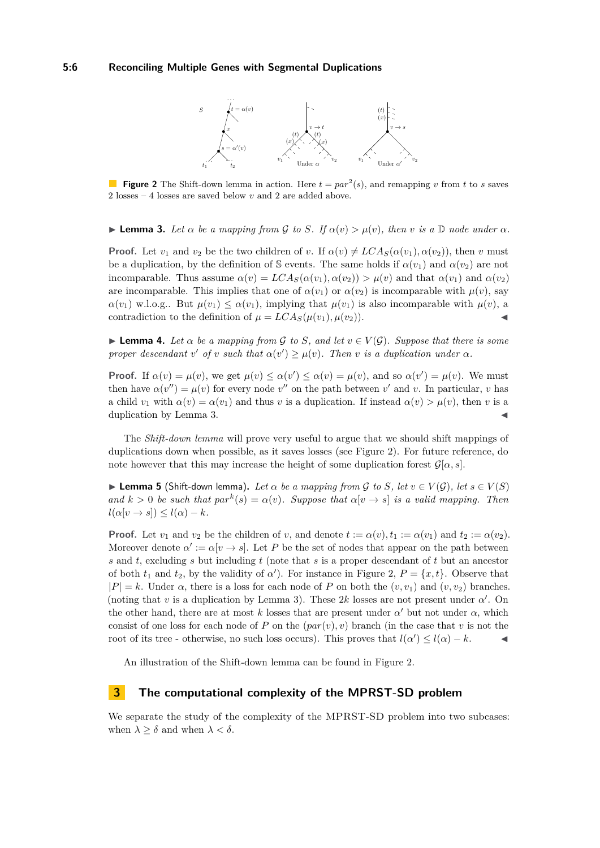<span id="page-5-1"></span>

**Figure 2** The Shift-down lemma in action. Here  $t = par^2(s)$ , and remapping *v* from *t* to *s* saves 2 losses – 4 losses are saved below *v* and 2 are added above.

<span id="page-5-0"></span>**Example 3.** Let  $\alpha$  be a mapping from G to S. If  $\alpha(v) > \mu(v)$ , then v is a D node under  $\alpha$ .

**Proof.** Let  $v_1$  and  $v_2$  be the two children of *v*. If  $\alpha(v) \neq LCA_S(\alpha(v_1), \alpha(v_2))$ , then *v* must be a duplication, by the definition of S events. The same holds if  $\alpha(v_1)$  and  $\alpha(v_2)$  are not incomparable. Thus assume  $\alpha(v) = LCA_S(\alpha(v_1), \alpha(v_2)) > \mu(v)$  and that  $\alpha(v_1)$  and  $\alpha(v_2)$ are incomparable. This implies that one of  $\alpha(v_1)$  or  $\alpha(v_2)$  is incomparable with  $\mu(v)$ , say  $\alpha(v_1)$  w.l.o.g.. But  $\mu(v_1) \leq \alpha(v_1)$ , implying that  $\mu(v_1)$  is also incomparable with  $\mu(v)$ , a contradiction to the definition of  $\mu = LCA_S(\mu(v_1), \mu(v_2)).$ 

<span id="page-5-2"></span>**Lemma 4.** Let  $\alpha$  be a mapping from  $\mathcal{G}$  to  $S$ , and let  $v \in V(\mathcal{G})$ . Suppose that there is some *proper descendant*  $v'$  *of*  $v$  *such that*  $\alpha(v') \geq \mu(v)$ *. Then*  $v$  *is a duplication under*  $\alpha$ *.* 

**Proof.** If  $\alpha(v) = \mu(v)$ , we get  $\mu(v) \leq \alpha(v') \leq \alpha(v) = \mu(v)$ , and so  $\alpha(v') = \mu(v)$ . We must then have  $\alpha(v'') = \mu(v)$  for every node  $v''$  on the path between  $v'$  and  $v$ . In particular,  $v$  has a child  $v_1$  with  $\alpha(v) = \alpha(v_1)$  and thus *v* is a duplication. If instead  $\alpha(v) > \mu(v)$ , then *v* is a duplication by Lemma [3.](#page-5-0)

The *Shift-down lemma* will prove very useful to argue that we should shift mappings of duplications down when possible, as it saves losses (see Figure [2\)](#page-5-1). For future reference, do note however that this may increase the height of some duplication forest  $\mathcal{G}[\alpha, s]$ .

**Example 5** (Shift-down lemma). Let  $\alpha$  be a mapping from  $\mathcal{G}$  to  $S$ , let  $v \in V(\mathcal{G})$ , let  $s \in V(S)$ *and*  $k > 0$  *be such that*  $par^k(s) = \alpha(v)$ *. Suppose that*  $\alpha[v \to s]$  *is a valid mapping. Then*  $l(\alpha[v \to s]) \leq l(\alpha) - k$ .

**Proof.** Let  $v_1$  and  $v_2$  be the children of *v*, and denote  $t := \alpha(v), t_1 := \alpha(v_1)$  and  $t_2 := \alpha(v_2)$ . Moreover denote  $\alpha' := \alpha[v \to s]$ . Let P be the set of nodes that appear on the path between *s* and *t*, excluding *s* but including *t* (note that *s* is a proper descendant of *t* but an ancestor of both  $t_1$  and  $t_2$ , by the validity of *α*<sup>'</sup>). For instance in Figure [2,](#page-5-1)  $P = \{x, t\}$ . Observe that  $|P| = k$ . Under  $\alpha$ , there is a loss for each node of P on both the  $(v, v_1)$  and  $(v, v_2)$  branches. (noting that  $v$  is a duplication by Lemma [3\)](#page-5-0). These 2k losses are not present under  $\alpha'$ . On the other hand, there are at most *k* losses that are present under  $\alpha'$  but not under  $\alpha$ , which consist of one loss for each node of *P* on the (*par*(*v*)*, v*) branch (in the case that *v* is not the root of its tree - otherwise, no such loss occurs). This proves that  $l(\alpha') \leq l(\alpha) - k$ .

An illustration of the Shift-down lemma can be found in Figure [2.](#page-5-1)

# **3 The computational complexity of the MPRST-SD problem**

We separate the study of the complexity of the MPRST-SD problem into two subcases: when  $\lambda \geq \delta$  and when  $\lambda < \delta$ .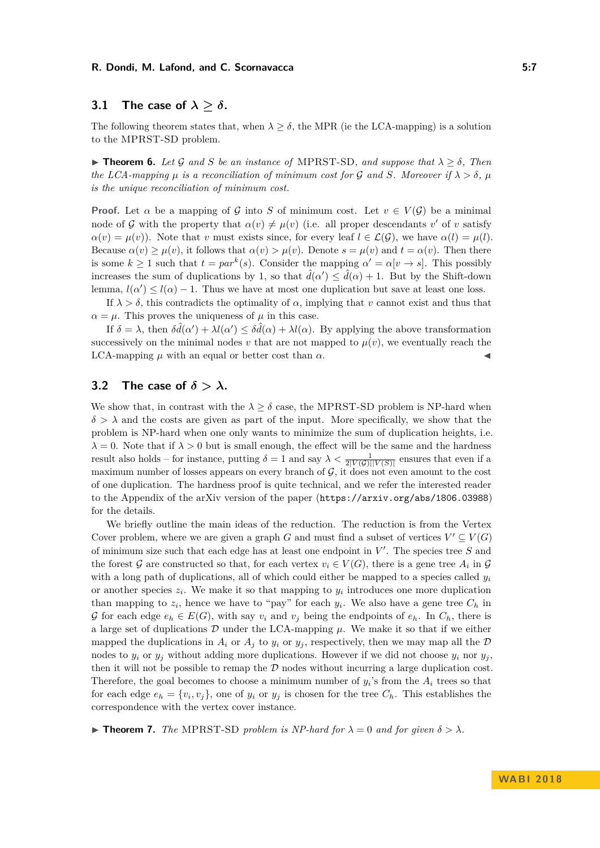# **3.1** The case of  $\lambda > \delta$ .

The following theorem states that, when  $\lambda \geq \delta$ , the MPR (ie the LCA-mapping) is a solution to the MPRST-SD problem.

**► Theorem 6.** Let G and S be an instance of MPRST-SD, and suppose that  $\lambda \geq \delta$ , Then *the LCA-mapping*  $\mu$  *is a reconciliation of minimum cost for* G and S. Moreover if  $\lambda > \delta$ ,  $\mu$ *is the unique reconciliation of minimum cost.*

**Proof.** Let  $\alpha$  be a mapping of  $\mathcal{G}$  into *S* of minimum cost. Let  $v \in V(\mathcal{G})$  be a minimal node of G with the property that  $\alpha(v) \neq \mu(v)$  (i.e. all proper descendants *v'* of *v* satisfy  $\alpha(v) = \mu(v)$ . Note that *v* must exists since, for every leaf  $l \in \mathcal{L}(\mathcal{G})$ , we have  $\alpha(l) = \mu(l)$ . Because  $\alpha(v) \geq \mu(v)$ , it follows that  $\alpha(v) > \mu(v)$ . Denote  $s = \mu(v)$  and  $t = \alpha(v)$ . Then there is some  $k \geq 1$  such that  $t = par^k(s)$ . Consider the mapping  $\alpha' = \alpha[v \to s]$ . This possibly increases the sum of duplications by 1, so that  $\hat{d}(\alpha') \leq \hat{d}(\alpha) + 1$ . But by the Shift-down lemma,  $l(\alpha') \leq l(\alpha) - 1$ . Thus we have at most one duplication but save at least one loss.

If  $\lambda > \delta$ , this contradicts the optimality of  $\alpha$ , implying that *v* cannot exist and thus that  $\alpha = \mu$ . This proves the uniqueness of  $\mu$  in this case.

If  $\delta = \lambda$ , then  $\delta \hat{d}(\alpha') + \lambda l(\alpha') \leq \delta \hat{d}(\alpha) + \lambda l(\alpha)$ . By applying the above transformation successively on the minimal nodes  $v$  that are not mapped to  $\mu(v)$ , we eventually reach the LCA-mapping  $\mu$  with an equal or better cost than  $\alpha$ .

# **3.2** The case of  $\delta > \lambda$ .

We show that, in contrast with the  $\lambda \geq \delta$  case, the MPRST-SD problem is NP-hard when  $\delta > \lambda$  and the costs are given as part of the input. More specifically, we show that the problem is NP-hard when one only wants to minimize the sum of duplication heights, i.e.  $\lambda = 0$ . Note that if  $\lambda > 0$  but is small enough, the effect will be the same and the hardness result also holds – for instance, putting  $\delta = 1$  and say  $\lambda < \frac{1}{2|V(\mathcal{G})||V(\mathcal{S})|}$  ensures that even if a maximum number of losses appears on every branch of  $\mathcal{G}$ , it does not even amount to the cost of one duplication. The hardness proof is quite technical, and we refer the interested reader to the Appendix of the arXiv version of the paper (<https://arxiv.org/abs/1806.03988>) for the details.

We briefly outline the main ideas of the reduction. The reduction is from the Vertex Cover problem, where we are given a graph *G* and must find a subset of vertices  $V' \subseteq V(G)$ of minimum size such that each edge has at least one endpoint in  $V'$ . The species tree S and the forest G are constructed so that, for each vertex  $v_i \in V(G)$ , there is a gene tree  $A_i$  in G with a long path of duplications, all of which could either be mapped to a species called *y<sup>i</sup>* or another species  $z_i$ . We make it so that mapping to  $y_i$  introduces one more duplication than mapping to  $z_i$ , hence we have to "pay" for each  $y_i$ . We also have a gene tree  $C_h$  in G for each edge  $e_h \in E(G)$ , with say  $v_i$  and  $v_j$  being the endpoints of  $e_h$ . In  $C_h$ , there is a large set of duplications  $D$  under the LCA-mapping  $\mu$ . We make it so that if we either mapped the duplications in  $A_i$  or  $A_j$  to  $y_i$  or  $y_j$ , respectively, then we may map all the  $D$ nodes to  $y_i$  or  $y_j$  without adding more duplications. However if we did not choose  $y_i$  nor  $y_j$ , then it will not be possible to remap the  $D$  nodes without incurring a large duplication cost. Therefore, the goal becomes to choose a minimum number of  $y_i$ 's from the  $A_i$  trees so that for each edge  $e_h = \{v_i, v_j\}$ , one of  $y_i$  or  $y_j$  is chosen for the tree  $C_h$ . This establishes the correspondence with the vertex cover instance.

**If Theorem 7.** *The* MPRST-SD *problem is NP-hard for*  $\lambda = 0$  *and for given*  $\delta > \lambda$ *.*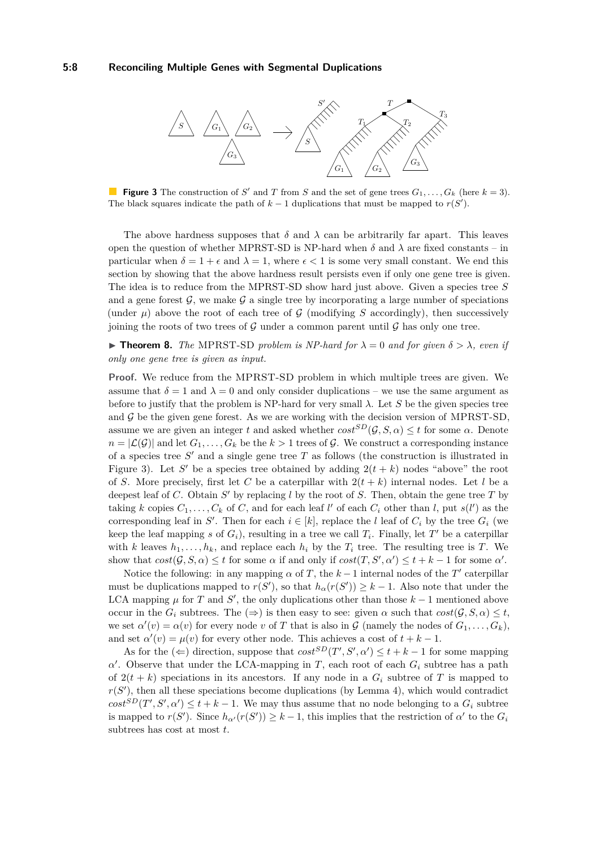### **5:8 Reconciling Multiple Genes with Segmental Duplications**

<span id="page-7-0"></span>

**Figure 3** The construction of *S'* and *T* from *S* and the set of gene trees  $G_1, \ldots, G_k$  (here  $k = 3$ ). The black squares indicate the path of  $k-1$  duplications that must be mapped to  $r(S')$ .

The above hardness supposes that  $\delta$  and  $\lambda$  can be arbitrarily far apart. This leaves open the question of whether MPRST-SD is NP-hard when  $\delta$  and  $\lambda$  are fixed constants – in particular when  $\delta = 1 + \epsilon$  and  $\lambda = 1$ , where  $\epsilon < 1$  is some very small constant. We end this section by showing that the above hardness result persists even if only one gene tree is given. The idea is to reduce from the MPRST-SD show hard just above. Given a species tree *S* and a gene forest  $\mathcal{G}$ , we make  $\mathcal{G}$  a single tree by incorporating a large number of speciations (under  $\mu$ ) above the root of each tree of G (modifying S accordingly), then successively joining the roots of two trees of  $\mathcal G$  under a common parent until  $\mathcal G$  has only one tree.

**Find 1.** The MPRST-SD problem is NP-hard for  $\lambda = 0$  and for given  $\delta > \lambda$ , even if *only one gene tree is given as input.*

**Proof.** We reduce from the MPRST-SD problem in which multiple trees are given. We assume that  $\delta = 1$  and  $\lambda = 0$  and only consider duplications – we use the same argument as before to justify that the problem is NP-hard for very small  $\lambda$ . Let *S* be the given species tree and  $\mathcal G$  be the given gene forest. As we are working with the decision version of MPRST-SD, assume we are given an integer *t* and asked whether  $cost^{SD}(G, S, \alpha) \leq t$  for some  $\alpha$ . Denote  $n = |\mathcal{L}(\mathcal{G})|$  and let  $G_1, \ldots, G_k$  be the  $k > 1$  trees of  $\mathcal{G}$ . We construct a corresponding instance of a species tree  $S'$  and a single gene tree  $T$  as follows (the construction is illustrated in Figure [3\)](#page-7-0). Let S' be a species tree obtained by adding  $2(t + k)$  nodes "above" the root of *S*. More precisely, first let *C* be a caterpillar with  $2(t + k)$  internal nodes. Let *l* be a deepest leaf of *C*. Obtain  $S'$  by replacing *l* by the root of *S*. Then, obtain the gene tree *T* by taking *k* copies  $C_1, \ldots, C_k$  of *C*, and for each leaf *l'* of each  $C_i$  other than *l*, put  $s(l')$  as the corresponding leaf in *S*<sup> $\prime$ </sup>. Then for each  $i \in [k]$ , replace the *l* leaf of  $C_i$  by the tree  $G_i$  (we keep the leaf mapping *s* of  $G_i$ ), resulting in a tree we call  $T_i$ . Finally, let  $T'$  be a caterpillar with *k* leaves  $h_1, \ldots, h_k$ , and replace each  $h_i$  by the  $T_i$  tree. The resulting tree is  $T$ . We show that  $cost(\mathcal{G}, S, \alpha) \leq t$  for some  $\alpha$  if and only if  $cost(T, S', \alpha') \leq t + k - 1$  for some  $\alpha'$ .

Notice the following: in any mapping  $\alpha$  of *T*, the  $k-1$  internal nodes of the *T*' caterpillar must be duplications mapped to  $r(S')$ , so that  $h_{\alpha}(r(S')) \geq k-1$ . Also note that under the LCA mapping  $\mu$  for *T* and *S*<sup>'</sup>, the only duplications other than those  $k-1$  mentioned above occur in the  $G_i$  subtrees. The  $(\Rightarrow)$  is then easy to see: given  $\alpha$  such that  $cost(\mathcal{G}, S, \alpha) \leq t$ , we set  $\alpha'(v) = \alpha(v)$  for every node *v* of *T* that is also in  $\mathcal G$  (namely the nodes of  $G_1, \ldots, G_k$ ), and set  $\alpha'(v) = \mu(v)$  for every other node. This achieves a cost of  $t + k - 1$ .

As for the  $(\Leftarrow)$  direction, suppose that  $cost^{SD}(T', S', \alpha') \leq t + k - 1$  for some mapping  $\alpha'$ . Observe that under the LCA-mapping in *T*, each root of each  $G_i$  subtree has a path of  $2(t + k)$  speciations in its ancestors. If any node in a  $G_i$  subtree of T is mapped to  $r(S')$ , then all these speciations become duplications (by Lemma [4\)](#page-5-2), which would contradict  $cost^{SD}(T', S', \alpha') \leq t + k - 1$ . We may thus assume that no node belonging to a  $G_i$  subtree is mapped to  $r(S')$ . Since  $h_{\alpha'}(r(S')) \geq k-1$ , this implies that the restriction of  $\alpha'$  to the  $G_i$ subtrees has cost at most *t*.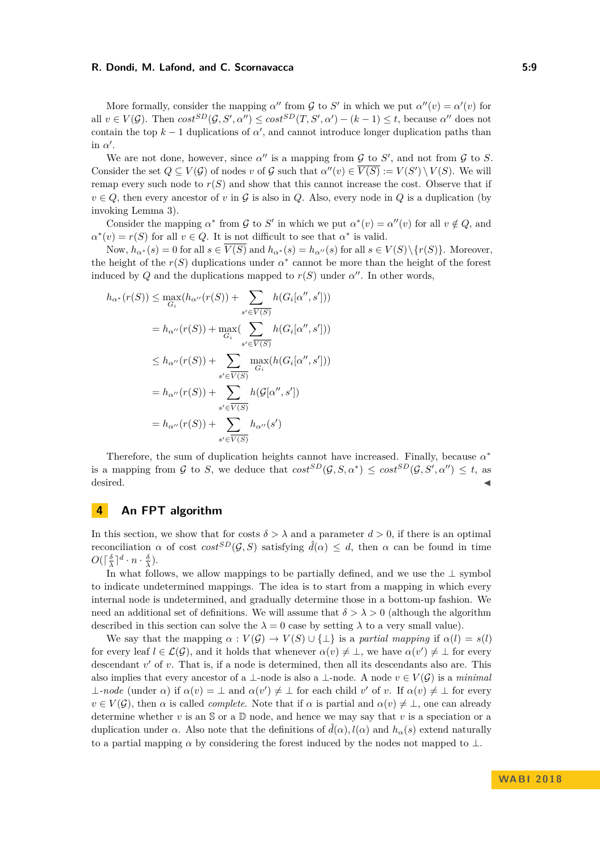More formally, consider the mapping  $\alpha''$  from G to S' in which we put  $\alpha''(v) = \alpha'(v)$  for all  $v \in V(G)$ . Then  $cost^{SD}(G, S', \alpha'') \leq cost^{SD}(T, S', \alpha') - (k-1) \leq t$ , because  $\alpha''$  does not contain the top  $k-1$  duplications of  $\alpha'$ , and cannot introduce longer duplication paths than in  $\alpha'$ .

We are not done, however, since  $\alpha''$  is a mapping from  $\mathcal G$  to  $S'$ , and not from  $\mathcal G$  to  $S$ . Consider the set  $Q \subseteq V(G)$  of nodes *v* of G such that  $\alpha''(v) \in \overline{V(S)} := V(S') \setminus V(S)$ . We will remap every such node to  $r(S)$  and show that this cannot increase the cost. Observe that if  $v \in Q$ , then every ancestor of *v* in G is also in Q. Also, every node in Q is a duplication (by invoking Lemma [3\)](#page-5-0).

Consider the mapping  $\alpha^*$  from  $\mathcal G$  to  $S'$  in which we put  $\alpha^*(v) = \alpha''(v)$  for all  $v \notin Q$ , and  $\alpha^*(v) = r(S)$  for all  $v \in Q$ . It is not difficult to see that  $\alpha^*$  is valid.

Now,  $h_{\alpha^*}(s) = 0$  for all  $s \in \overline{V(S)}$  and  $h_{\alpha^*}(s) = h_{\alpha^{\prime\prime}}(s)$  for all  $s \in V(S) \setminus \{r(S)\}\)$ . Moreover, the height of the  $r(S)$  duplications under  $\alpha^*$  cannot be more than the height of the forest induced by *Q* and the duplications mapped to  $r(S)$  under  $\alpha''$ . In other words,

$$
h_{\alpha^*}(r(S)) \leq \max_{G_i} (h_{\alpha''}(r(S)) + \sum_{s' \in \overline{V(S)}} h(G_i[\alpha'', s']) )
$$
  

$$
= h_{\alpha''}(r(S)) + \max_{G_i} (\sum_{s' \in \overline{V(S)}} h(G_i[\alpha'', s']) )
$$
  

$$
\leq h_{\alpha''}(r(S)) + \sum_{s' \in \overline{V(S)}} \max_{G_i} (h(G_i[\alpha'', s']) )
$$
  

$$
= h_{\alpha''}(r(S)) + \sum_{s' \in \overline{V(S)}} h(\mathcal{G}[\alpha'', s'])
$$
  

$$
= h_{\alpha''}(r(S)) + \sum_{s' \in \overline{V(S)}} h_{\alpha''}(s')
$$

Therefore, the sum of duplication heights cannot have increased. Finally, because *α* ∗ is a mapping from G to S, we deduce that  $cost^{SD}(G, S, \alpha^*) \leq cost^{SD}(G, S', \alpha'') \leq t$ , as  $\blacksquare$  desired.

## **4 An FPT algorithm**

In this section, we show that for costs  $\delta > \lambda$  and a parameter  $d > 0$ , if there is an optimal reconciliation *α* of cost  $cost^{SD}(G, S)$  satisfying  $\hat{d}(\alpha) \leq d$ , then *α* can be found in time  $O(\lceil \frac{\delta}{\lambda} \rceil^d \cdot n \cdot \frac{\delta}{\lambda}).$ 

In what follows, we allow mappings to be partially defined, and we use the ⊥ symbol to indicate undetermined mappings. The idea is to start from a mapping in which every internal node is undetermined, and gradually determine those in a bottom-up fashion. We need an additional set of definitions. We will assume that  $\delta > \lambda > 0$  (although the algorithm described in this section can solve the  $\lambda = 0$  case by setting  $\lambda$  to a very small value).

We say that the mapping  $\alpha : V(\mathcal{G}) \to V(S) \cup \{\perp\}$  is a *partial mapping* if  $\alpha(l) = s(l)$ for every leaf  $l \in \mathcal{L}(\mathcal{G})$ , and it holds that whenever  $\alpha(v) \neq \bot$ , we have  $\alpha(v') \neq \bot$  for every descendant *v'* of *v*. That is, if a node is determined, then all its descendants also are. This also implies that every ancestor of a ⊥-node is also a ⊥-node. A node  $v \in V(\mathcal{G})$  is a *minimal*  $\perp$ *-node* (under  $\alpha$ ) if  $\alpha(v) = \perp$  and  $\alpha(v') \neq \perp$  for each child *v*' of *v*. If  $\alpha(v) \neq \perp$  for every  $v \in V(G)$ , then  $\alpha$  is called *complete*. Note that if  $\alpha$  is partial and  $\alpha(v) \neq \bot$ , one can already determine whether  $v$  is an  $S$  or a  $D$  node, and hence we may say that  $v$  is a speciation or a duplication under *α*. Also note that the definitions of  $\hat{d}(\alpha)$ ,  $l(\alpha)$  and  $h_{\alpha}(s)$  extend naturally to a partial mapping  $\alpha$  by considering the forest induced by the nodes not mapped to  $\bot$ .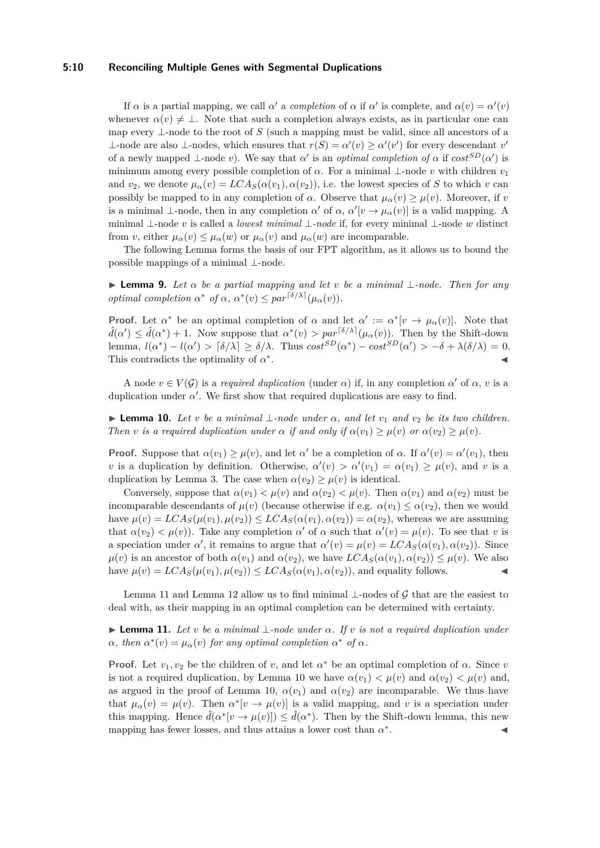## **5:10 Reconciling Multiple Genes with Segmental Duplications**

If  $\alpha$  is a partial mapping, we call  $\alpha'$  a *completion* of  $\alpha$  if  $\alpha'$  is complete, and  $\alpha(v) = \alpha'(v)$ whenever  $\alpha(v) \neq \perp$ . Note that such a completion always exists, as in particular one can map every  $\perp$ -node to the root of *S* (such a mapping must be valid, since all ancestors of a ⊥-node are also ⊥-nodes, which ensures that  $r(S) = \alpha'(v) \geq \alpha'(v')$  for every descendant *v*' of a newly mapped  $\perp$ -node *v*). We say that *α*' is an *optimal completion of*  $\alpha$  if  $cost^{SD}(\alpha')$  is minimum among every possible completion of  $\alpha$ . For a minimal  $\perp$ -node *v* with children  $v_1$ and  $v_2$ , we denote  $\mu_\alpha(v) = LCA_S(\alpha(v_1), \alpha(v_2))$ , i.e. the lowest species of *S* to which *v* can possibly be mapped to in any completion of *α*. Observe that  $\mu_{\alpha}(v) \geq \mu(v)$ . Moreover, if *v* is a minimal  $\perp$ -node, then in any completion  $\alpha'$  of  $\alpha$ ,  $\alpha'[v \to \mu_\alpha(v)]$  is a valid mapping. A minimal ⊥-node *v* is called a *lowest minimal* ⊥*-node* if, for every minimal ⊥-node *w* distinct from *v*, either  $\mu_{\alpha}(v) \leq \mu_{\alpha}(w)$  or  $\mu_{\alpha}(v)$  and  $\mu_{\alpha}(w)$  are incomparable.

The following Lemma forms the basis of our FPT algorithm, as it allows us to bound the possible mappings of a minimal ⊥-node.

<span id="page-9-2"></span> $▶$  **Lemma 9.** *Let*  $α$  *be a partial mapping and let*  $v$  *be a minimal* ⊥*-node. Then for any optimal completion*  $\alpha^*$  *of*  $\alpha$ *,*  $\alpha^*(v) \leq par^{\lceil \delta/\lambda \rceil}(\mu_\alpha(v)).$ 

**Proof.** Let  $\alpha^*$  be an optimal completion of  $\alpha$  and let  $\alpha' := \alpha^*[v \to \mu_\alpha(v)]$ . Note that  $\hat{d}(\alpha') \leq \hat{d}(\alpha^*) + 1$ . Now suppose that  $\alpha^*(v) > par^{[\delta/\lambda]}(\mu_\alpha(v))$ . Then by the Shift-down lemma,  $l(\alpha^*) - l(\alpha') > [\delta/\lambda] \ge \delta/\lambda$ . Thus  $cost^{SD}(\alpha^*) - cost^{SD}(\alpha') > -\delta + \lambda(\delta/\lambda) = 0$ . This contradicts the optimality of *α* ∗ . J

A node  $v \in V(G)$  is a *required duplication* (under  $\alpha$ ) if, in any completion  $\alpha'$  of  $\alpha$ , *v* is a duplication under  $\alpha'$ . We first show that required duplications are easy to find.

<span id="page-9-1"></span> $\blacktriangleright$  **Lemma 10.** *Let v be a minimal* ⊥*-node under*  $\alpha$ *, and let*  $v_1$  *and*  $v_2$  *be its two children. Then v is a required duplication under*  $\alpha$  *if and only if*  $\alpha(v_1) \geq \mu(v)$  *or*  $\alpha(v_2) \geq \mu(v)$ *.* 

**Proof.** Suppose that  $\alpha(v_1) \geq \mu(v)$ , and let  $\alpha'$  be a completion of  $\alpha$ . If  $\alpha'(v) = \alpha'(v_1)$ , then *v* is a duplication by definition. Otherwise,  $\alpha'(v) > \alpha'(v_1) = \alpha(v_1) \geq \mu(v)$ , and *v* is a duplication by Lemma [3.](#page-5-0) The case when  $\alpha(v_2) \geq \mu(v)$  is identical.

Conversely, suppose that  $\alpha(v_1) < \mu(v)$  and  $\alpha(v_2) < \mu(v)$ . Then  $\alpha(v_1)$  and  $\alpha(v_2)$  must be incomparable descendants of  $\mu(v)$  (because otherwise if e.g.  $\alpha(v_1) \leq \alpha(v_2)$ , then we would have  $\mu(v) = LCA_S(\mu(v_1), \mu(v_2)) \leq LCA_S(\alpha(v_1), \alpha(v_2)) = \alpha(v_2)$ , whereas we are assuming that  $\alpha(v_2) < \mu(v)$ ). Take any completion  $\alpha'$  of  $\alpha$  such that  $\alpha'(v) = \mu(v)$ . To see that *v* is a speciation under *α*', it remains to argue that  $\alpha'(v) = \mu(v) = LCA_S(\alpha(v_1), \alpha(v_2))$ . Since  $\mu(v)$  is an ancestor of both  $\alpha(v_1)$  and  $\alpha(v_2)$ , we have  $LCA_S(\alpha(v_1), \alpha(v_2)) \leq \mu(v)$ . We also have  $\mu(v) = LCA_S(\mu(v_1), \mu(v_2)) \leq LCA_S(\alpha(v_1), \alpha(v_2))$ , and equality follows.

Lemma [11](#page-9-0) and Lemma [12](#page-10-0) allow us to find minimal ⊥-nodes of G that are the easiest to deal with, as their mapping in an optimal completion can be determined with certainty.

<span id="page-9-0"></span>I **Lemma 11.** *Let v be a minimal* ⊥*-node under α. If v is not a required duplication under*  $\alpha$ , then  $\alpha^*(v) = \mu_\alpha(v)$  for any optimal completion  $\alpha^*$  of  $\alpha$ .

**Proof.** Let  $v_1, v_2$  be the children of *v*, and let  $\alpha^*$  be an optimal completion of  $\alpha$ . Since *v* is not a required duplication, by Lemma [10](#page-9-1) we have  $\alpha(v_1) < \mu(v)$  and  $\alpha(v_2) < \mu(v)$  and, as argued in the proof of Lemma [10,](#page-9-1)  $\alpha(v_1)$  and  $\alpha(v_2)$  are incomparable. We thus have that  $\mu_{\alpha}(v) = \mu(v)$ . Then  $\alpha^*[v \to \mu(v)]$  is a valid mapping, and v is a speciation under this mapping. Hence  $\hat{d}(\alpha^*[\nu \to \mu(\nu)]) \leq \hat{d}(\alpha^*)$ . Then by the Shift-down lemma, this new mapping has fewer losses, and thus attains a lower cost than *α* ∗ . John J. J. J. J. J.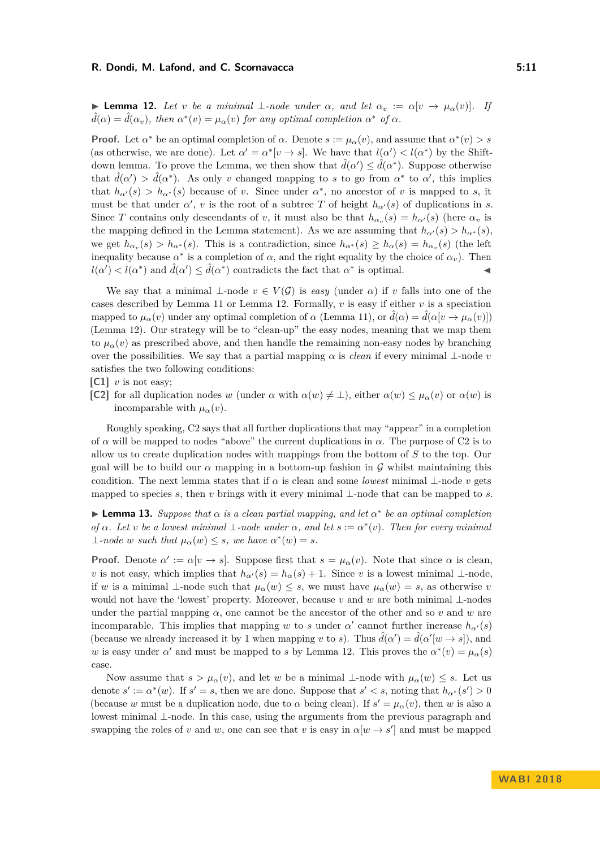<span id="page-10-0"></span>**► Lemma 12.** Let *v* be a minimal  $\bot$ -node under  $\alpha$ , and let  $\alpha_v := \alpha[v \to \mu_\alpha(v)]$ . If  $\hat{d}(\alpha) = \hat{d}(\alpha_v)$ , then  $\alpha^*(v) = \mu_\alpha(v)$  for any optimal completion  $\alpha^*$  of  $\alpha$ .

**Proof.** Let  $\alpha^*$  be an optimal completion of  $\alpha$ . Denote  $s := \mu_\alpha(v)$ , and assume that  $\alpha^*(v) > s$ (as otherwise, we are done). Let  $\alpha' = \alpha^* |v \to s|$ . We have that  $l(\alpha') < l(\alpha^*)$  by the Shiftdown lemma. To prove the Lemma, we then show that  $\hat{d}(\alpha') \leq \hat{d}(\alpha^*)$ . Suppose otherwise that  $\hat{d}(\alpha') > \hat{d}(\alpha^*)$ . As only *v* changed mapping to *s* to go from  $\alpha^*$  to  $\alpha'$ , this implies that  $h_{\alpha}(s) > h_{\alpha^*}(s)$  because of *v*. Since under  $\alpha^*$ , no ancestor of *v* is mapped to *s*, it must be that under  $\alpha'$ , *v* is the root of a subtree *T* of height  $h_{\alpha'}(s)$  of duplications in *s*. Since *T* contains only descendants of *v*, it must also be that  $h_{\alpha_v}(s) = h_{\alpha'}(s)$  (here  $\alpha_v$  is the mapping defined in the Lemma statement). As we are assuming that  $h_{\alpha}(s) > h_{\alpha^*}(s)$ , we get  $h_{\alpha_v}(s) > h_{\alpha^*}(s)$ . This is a contradiction, since  $h_{\alpha^*}(s) \ge h_{\alpha}(s) = h_{\alpha_v}(s)$  (the left inequality because  $\alpha^*$  is a completion of  $\alpha$ , and the right equality by the choice of  $\alpha_v$ ). Then  $l(\alpha') < l(\alpha^*)$  and  $\hat{d}(\alpha') \leq \hat{d}(\alpha^*)$  contradicts the fact that  $\alpha^*$  is optimal.

We say that a minimal  $\perp$ -node  $v \in V(G)$  is *easy* (under  $\alpha$ ) if *v* falls into one of the cases described by Lemma [11](#page-9-0) or Lemma [12.](#page-10-0) Formally, *v* is easy if either *v* is a speciation mapped to  $\mu_{\alpha}(v)$  under any optimal completion of  $\alpha$  (Lemma [11\)](#page-9-0), or  $d(\alpha) = d(\alpha[v \to \mu_{\alpha}(v)])$ (Lemma [12\)](#page-10-0). Our strategy will be to "clean-up" the easy nodes, meaning that we map them to  $\mu_{\alpha}(v)$  as prescribed above, and then handle the remaining non-easy nodes by branching over the possibilities. We say that a partial mapping  $\alpha$  is *clean* if every minimal ⊥-node *v* satisfies the two following conditions:

- **[C1]** *v* is not easy;
- **[C2]** for all duplication nodes *w* (under  $\alpha$  with  $\alpha(w) \neq \bot$ ), either  $\alpha(w) \leq \mu_{\alpha}(v)$  or  $\alpha(w)$  is incomparable with  $\mu_{\alpha}(v)$ .

Roughly speaking, C2 says that all further duplications that may "appear" in a completion of  $\alpha$  will be mapped to nodes "above" the current duplications in  $\alpha$ . The purpose of C2 is to allow us to create duplication nodes with mappings from the bottom of *S* to the top. Our goal will be to build our  $\alpha$  mapping in a bottom-up fashion in G whilst maintaining this condition. The next lemma states that if  $\alpha$  is clean and some *lowest* minimal ⊥-node *v* gets mapped to species *s*, then *v* brings with it every minimal  $\perp$ -node that can be mapped to *s*.

<span id="page-10-1"></span>**Example 13.** Suppose that  $\alpha$  is a clean partial mapping, and let  $\alpha^*$  be an optimal completion *of*  $\alpha$ *. Let v be a lowest minimal*  $\bot$ *-node under*  $\alpha$ *, and let*  $s := \alpha^*(v)$ *. Then for every minimal*  $\perp$ -node *w* such that  $\mu_{\alpha}(w) \leq s$ , we have  $\alpha^*(w) = s$ .

**Proof.** Denote  $\alpha' := \alpha[v \to s]$ . Suppose first that  $s = \mu_\alpha(v)$ . Note that since  $\alpha$  is clean, *v* is not easy, which implies that  $h_{\alpha}(s) = h_{\alpha}(s) + 1$ . Since *v* is a lowest minimal ⊥-node, if *w* is a minimal  $\perp$ -node such that  $\mu_\alpha(w) \leq s$ , we must have  $\mu_\alpha(w) = s$ , as otherwise *v* would not have the 'lowest' property. Moreover, because *v* and *w* are both minimal ⊥-nodes under the partial mapping  $\alpha$ , one cannot be the ancestor of the other and so *v* and *w* are incomparable. This implies that mapping *w* to *s* under  $\alpha'$  cannot further increase  $h_{\alpha'}(s)$ (because we already increased it by 1 when mapping *v* to *s*). Thus  $\hat{d}(\alpha') = \hat{d}(\alpha'[w \to s])$ , and *w* is easy under *α*' and must be mapped to *s* by Lemma [12.](#page-10-0) This proves the  $\alpha^*(v) = \mu_\alpha(s)$ case.

Now assume that  $s > \mu_\alpha(v)$ , and let *w* be a minimal ⊥-node with  $\mu_\alpha(w) \leq s$ . Let us denote  $s' := \alpha^*(w)$ . If  $s' = s$ , then we are done. Suppose that  $s' < s$ , noting that  $h_{\alpha^*}(s') > 0$ (because *w* must be a duplication node, due to  $\alpha$  being clean). If  $s' = \mu_\alpha(v)$ , then *w* is also a lowest minimal ⊥-node. In this case, using the arguments from the previous paragraph and swapping the roles of *v* and *w*, one can see that *v* is easy in  $\alpha[w \to s']$  and must be mapped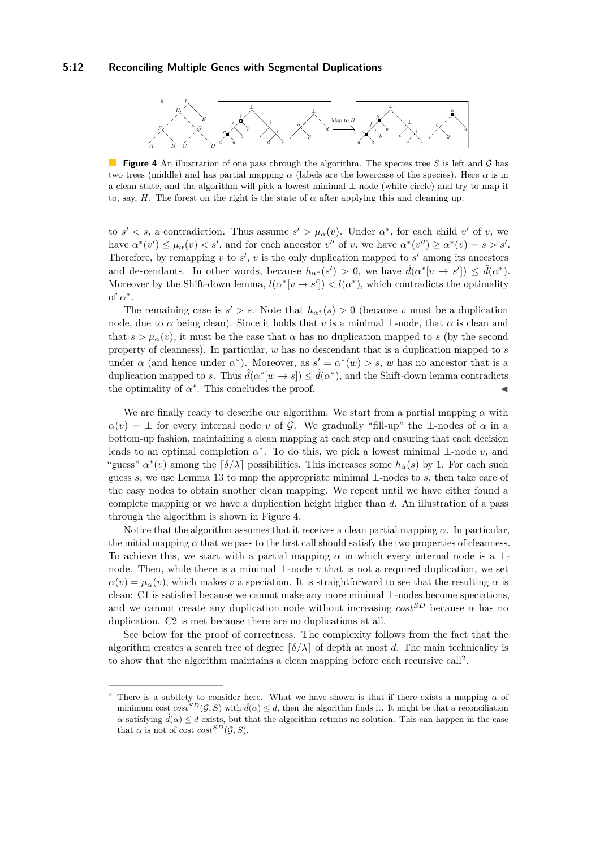### **5:12 Reconciling Multiple Genes with Segmental Duplications**

<span id="page-11-0"></span>

**Figure 4** An illustration of one pass through the algorithm. The species tree *S* is left and G has two trees (middle) and has partial mapping *α* (labels are the lowercase of the species). Here *α* is in a clean state, and the algorithm will pick a lowest minimal ⊥-node (white circle) and try to map it to, say, *H*. The forest on the right is the state of  $\alpha$  after applying this and cleaning up.

to  $s' < s$ , a contradiction. Thus assume  $s' > \mu_\alpha(v)$ . Under  $\alpha^*$ , for each child *v'* of *v*, we have  $\alpha^*(v') \leq \mu_\alpha(v) < s'$ , and for each ancestor  $v''$  of *v*, we have  $\alpha^*(v'') \geq \alpha^*(v) = s > s'$ . Therefore, by remapping  $v$  to  $s'$ ,  $v$  is the only duplication mapped to  $s'$  among its ancestors and descendants. In other words, because  $h_{\alpha^*}(s') > 0$ , we have  $\hat{d}(\alpha^* [v \to s']) \leq \hat{d}(\alpha^*)$ . Moreover by the Shift-down lemma,  $l(\alpha^* | v \to s') < l(\alpha^*)$ , which contradicts the optimality of  $\alpha^*$ .

The remaining case is  $s' > s$ . Note that  $h_{\alpha^*}(s) > 0$  (because *v* must be a duplication node, due to  $\alpha$  being clean). Since it holds that *v* is a minimal ⊥-node, that  $\alpha$  is clean and that  $s > \mu_\alpha(v)$ , it must be the case that  $\alpha$  has no duplication mapped to *s* (by the second property of cleanness). In particular, *w* has no descendant that is a duplication mapped to *s* under  $\alpha$  (and hence under  $\alpha^*$ ). Moreover, as  $s' = \alpha^*(w) > s$ , w has no ancestor that is a duplication mapped to *s*. Thus  $\hat{d}(\alpha^* | w \to s) \leq \hat{d}(\alpha^*)$ , and the Shift-down lemma contradicts the optimality of  $\alpha^*$ . This concludes the proof.

We are finally ready to describe our algorithm. We start from a partial mapping  $\alpha$  with  $\alpha(v) = \bot$  for every internal node *v* of G. We gradually "fill-up" the  $\bot$ -nodes of  $\alpha$  in a bottom-up fashion, maintaining a clean mapping at each step and ensuring that each decision leads to an optimal completion  $\alpha^*$ . To do this, we pick a lowest minimal  $\bot$ -node *v*, and "guess"  $\alpha^*(v)$  among the  $\lceil \delta/\lambda \rceil$  possibilities. This increases some  $h_\alpha(s)$  by 1. For each such guess *s*, we use Lemma [13](#page-10-1) to map the appropriate minimal ⊥-nodes to *s*, then take care of the easy nodes to obtain another clean mapping. We repeat until we have either found a complete mapping or we have a duplication height higher than *d*. An illustration of a pass through the algorithm is shown in Figure [4.](#page-11-0)

Notice that the algorithm assumes that it receives a clean partial mapping *α*. In particular, the initial mapping  $\alpha$  that we pass to the first call should satisfy the two properties of cleanness. To achieve this, we start with a partial mapping  $\alpha$  in which every internal node is a ⊥node. Then, while there is a minimal ⊥-node *v* that is not a required duplication, we set  $\alpha(v) = \mu_{\alpha}(v)$ , which makes *v* a speciation. It is straightforward to see that the resulting  $\alpha$  is clean: C1 is satisfied because we cannot make any more minimal ⊥-nodes become speciations, and we cannot create any duplication node without increasing  $cost^{SD}$  because  $\alpha$  has no duplication. C2 is met because there are no duplications at all.

See below for the proof of correctness. The complexity follows from the fact that the algorithm creates a search tree of degree  $\lceil \delta / \lambda \rceil$  of depth at most *d*. The main technicality is to show that the algorithm maintains a clean mapping before each recursive call<sup>[2](#page-11-1)</sup>.

<span id="page-11-1"></span><sup>&</sup>lt;sup>2</sup> There is a subtlety to consider here. What we have shown is that if there exists a mapping  $\alpha$  of minimum cost  $cost^{SD}(\mathcal{G}, S)$  with  $\hat{d}(\alpha) \leq d$ , then the algorithm finds it. It might be that a reconciliation *α* satisfying  $\hat{d}(\alpha) \leq d$  exists, but that the algorithm returns no solution. This can happen in the case that  $\alpha$  is not of cost  $cost^{SD}(\mathcal{G}, S)$ .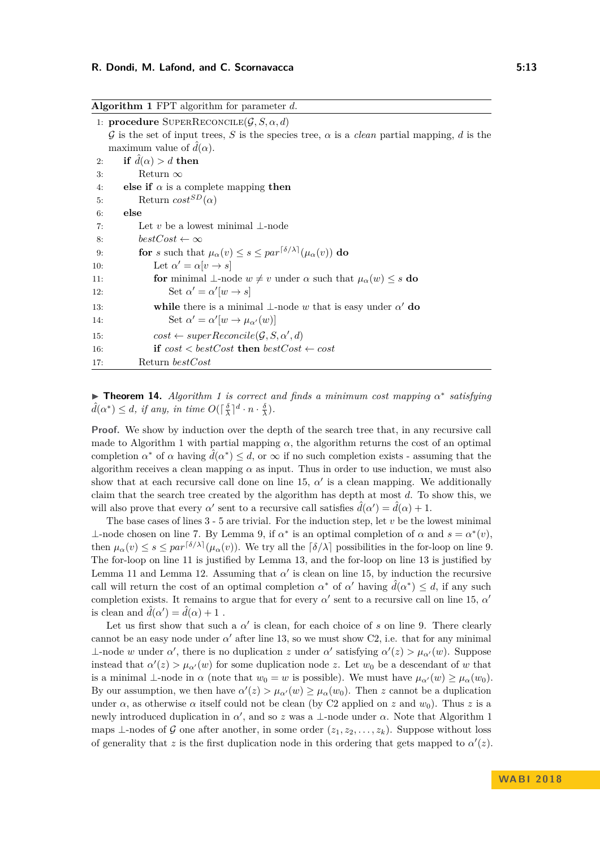<span id="page-12-0"></span>

| <b>Algorithm 1</b> FPT algorithm for parameter $d$ . |                                                                                                          |
|------------------------------------------------------|----------------------------------------------------------------------------------------------------------|
|                                                      | 1: procedure SUPERRECONCILE $(\mathcal{G}, S, \alpha, d)$                                                |
|                                                      | G is the set of input trees, S is the species tree, $\alpha$ is a <i>clean</i> partial mapping, d is the |
|                                                      | maximum value of $\ddot{d}(\alpha)$ .                                                                    |
| 2:                                                   | if $\hat{d}(\alpha) > d$ then                                                                            |
| 3:                                                   | Return $\infty$                                                                                          |
| 4:                                                   | else if $\alpha$ is a complete mapping then                                                              |
| 5:                                                   | Return $cost^{SD}(\alpha)$                                                                               |
| 6:                                                   | else                                                                                                     |
| 7:                                                   | Let v be a lowest minimal $\perp$ -node                                                                  |
| 8:                                                   | $bestCost \leftarrow \infty$                                                                             |
| 9:                                                   | for s such that $\mu_{\alpha}(v) \leq s \leq par^{\lceil \delta/\lambda \rceil}(\mu_{\alpha}(v))$ do     |
| 10:                                                  | Let $\alpha'=\alpha[v\rightarrow s]$                                                                     |
| 11:                                                  | for minimal $\bot$ -node $w \neq v$ under $\alpha$ such that $\mu_{\alpha}(w) \leq s$ do                 |
| 12:                                                  | Set $\alpha' = \alpha' w \to s $                                                                         |
| 13:                                                  | while there is a minimal $\perp$ -node w that is easy under $\alpha'$ do                                 |
| 14:                                                  | Set $\alpha' = \alpha'[w \rightarrow \mu_{\alpha'}(w)]$                                                  |
| 15:                                                  | $cost \leftarrow superReconcile(\mathcal{G}, S, \alpha', d)$                                             |
| <b>16:</b>                                           | if $cost < bestCost$ then $bestCost \leftarrow cost$                                                     |
| 17:                                                  | Return bestCost                                                                                          |

**► Theorem [1](#page-12-0)4.** *Algorithm 1 is correct and finds a minimum cost mapping*  $α^*$  *satisfying*  $\hat{d}(\alpha^*) \leq d$ , if any, in time  $O(\lceil \frac{\delta}{\lambda} \rceil^d \cdot n \cdot \frac{\delta}{\lambda})$ .

**Proof.** We show by induction over the depth of the search tree that, in any recursive call made to Algorithm [1](#page-12-0) with partial mapping  $\alpha$ , the algorithm returns the cost of an optimal completion  $\alpha^*$  of  $\alpha$  having  $\hat{d}(\alpha^*) \leq d$ , or  $\infty$  if no such completion exists - assuming that the algorithm receives a clean mapping  $\alpha$  as input. Thus in order to use induction, we must also show that at each recursive call done on line [15,](#page-12-0)  $\alpha'$  is a clean mapping. We additionally claim that the search tree created by the algorithm has depth at most *d*. To show this, we will also prove that every  $\alpha'$  sent to a recursive call satisfies  $\hat{d}(\alpha') = \hat{d}(\alpha) + 1$ .

The base cases of lines  $3 - 5$  $3 - 5$  are trivial. For the induction step, let  $v$  be the lowest minimal  $⊥$ -node chosen on line [7.](#page-12-0) By Lemma [9,](#page-9-2) if *α*<sup>\*</sup> is an optimal completion of *α* and *s* = *α*<sup>\*</sup>(*v*), then  $\mu_{\alpha}(v) \leq s \leq par^{\lceil \delta/\lambda \rceil}(\mu_{\alpha}(v))$ . We try all the  $\lceil \delta/\lambda \rceil$  possibilities in the for-loop on line [9.](#page-12-0) The for-loop on line [11](#page-12-0) is justified by Lemma [13,](#page-10-1) and the for-loop on line [13](#page-12-0) is justified by Lemma [11](#page-9-0) and Lemma [12.](#page-10-0) Assuming that  $\alpha'$  is clean on line [15,](#page-12-0) by induction the recursive call will return the cost of an optimal completion  $\alpha^*$  of  $\alpha'$  having  $\hat{d}(\alpha^*) \leq d$ , if any such completion exists. It remains to argue that for every  $\alpha'$  sent to a recursive call on line [15,](#page-12-0)  $\alpha'$ is clean and  $\hat{d}(\alpha') = \hat{d}(\alpha) + 1$ .

Let us first show that such a  $\alpha'$  is clean, for each choice of *s* on line [9.](#page-12-0) There clearly cannot be an easy node under  $\alpha'$  after line [13,](#page-12-0) so we must show C2, i.e. that for any minimal  $\perp$ -node *w* under *α*<sup>'</sup>, there is no duplication *z* under *α*<sup>'</sup> satisfying  $\alpha'(z) > \mu_{\alpha'}(w)$ . Suppose instead that  $\alpha'(z) > \mu_{\alpha}(w)$  for some duplication node *z*. Let  $w_0$  be a descendant of *w* that is a minimal  $\perp$ -node in  $\alpha$  (note that  $w_0 = w$  is possible). We must have  $\mu_{\alpha'}(w) \ge \mu_{\alpha}(w_0)$ . By our assumption, we then have  $\alpha'(z) > \mu_{\alpha}(w) \geq \mu_{\alpha}(w_0)$ . Then *z* cannot be a duplication under  $\alpha$ , as otherwise  $\alpha$  itself could not be clean (by C2 applied on *z* and  $w_0$ ). Thus *z* is a newly introduced duplication in  $\alpha'$ , and so *z* was a ⊥-node under  $\alpha$ . Note that Algorithm [1](#page-12-0) maps ⊥-nodes of G one after another, in some order  $(z_1, z_2, \ldots, z_k)$ . Suppose without loss of generality that z is the first duplication node in this ordering that gets mapped to  $\alpha'(z)$ .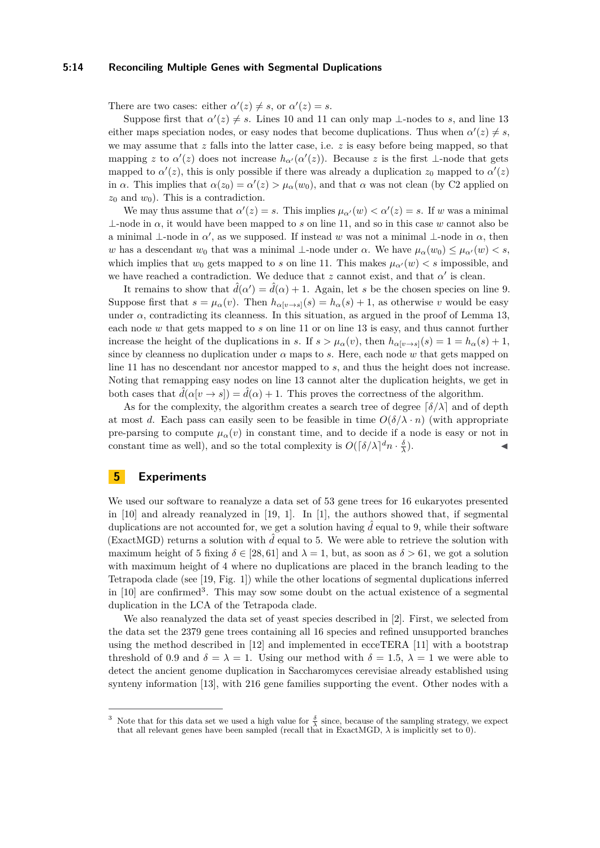## **5:14 Reconciling Multiple Genes with Segmental Duplications**

There are two cases: either  $\alpha'(z) \neq s$ , or  $\alpha'(z) = s$ .

Suppose first that  $\alpha'(z) \neq s$ . Lines [10](#page-12-0) and [11](#page-12-0) can only map ⊥-nodes to *s*, and line [13](#page-12-0) either maps speciation nodes, or easy nodes that become duplications. Thus when  $\alpha'(z) \neq s$ , we may assume that *z* falls into the latter case, i.e. *z* is easy before being mapped, so that mapping *z* to  $\alpha'(z)$  does not increase  $h_{\alpha'}(\alpha'(z))$ . Because *z* is the first ⊥-node that gets mapped to  $\alpha'(z)$ , this is only possible if there was already a duplication  $z_0$  mapped to  $\alpha'(z)$ in *α*. This implies that  $\alpha(z_0) = \alpha'(z) > \mu_\alpha(w_0)$ , and that *α* was not clean (by C2 applied on  $z_0$  and  $w_0$ ). This is a contradiction.

We may thus assume that  $\alpha'(z) = s$ . This implies  $\mu_{\alpha'}(w) < \alpha'(z) = s$ . If *w* was a minimal  $\perp$ -node in  $\alpha$ , it would have been mapped to *s* on line [11,](#page-12-0) and so in this case *w* cannot also be a minimal ⊥-node in  $\alpha'$ , as we supposed. If instead w was not a minimal ⊥-node in  $\alpha$ , then *w* has a descendant  $w_0$  that was a minimal ⊥-node under  $\alpha$ . We have  $\mu_\alpha(w_0) \leq \mu_{\alpha'}(w) < s$ , which implies that  $w_0$  gets mapped to *s* on line [11.](#page-12-0) This makes  $\mu_{\alpha'}(w) < s$  impossible, and we have reached a contradiction. We deduce that  $z$  cannot exist, and that  $\alpha'$  is clean.

It remains to show that  $\hat{d}(\alpha') = \hat{d}(\alpha) + 1$ . Again, let *s* be the chosen species on line [9.](#page-12-0) Suppose first that  $s = \mu_\alpha(v)$ . Then  $h_{\alpha[v \to s]}(s) = h_\alpha(s) + 1$ , as otherwise *v* would be easy under  $\alpha$ , contradicting its cleanness. In this situation, as argued in the proof of Lemma [13,](#page-10-1) each node *w* that gets mapped to *s* on line [11](#page-12-0) or on line [13](#page-12-0) is easy, and thus cannot further increase the height of the duplications in *s*. If  $s > \mu_\alpha(v)$ , then  $h_{\alpha(v \to s)}(s) = 1 = h_\alpha(s) + 1$ , since by cleanness no duplication under  $\alpha$  maps to *s*. Here, each node  $w$  that gets mapped on line [11](#page-12-0) has no descendant nor ancestor mapped to *s*, and thus the height does not increase. Noting that remapping easy nodes on line [13](#page-12-0) cannot alter the duplication heights, we get in both cases that  $\hat{d}(\alpha[v \to s]) = \hat{d}(\alpha) + 1$ . This proves the correctness of the algorithm.

As for the complexity, the algorithm creates a search tree of degree  $\lceil \delta / \lambda \rceil$  and of depth at most *d*. Each pass can easily seen to be feasible in time  $O(\delta/\lambda \cdot n)$  (with appropriate pre-parsing to compute  $\mu_{\alpha}(v)$  in constant time, and to decide if a node is easy or not in constant time as well), and so the total complexity is  $O(\lceil \delta / \lambda \rceil^d n \cdot \frac{\delta}{\lambda})$  $\blacksquare$ ).

## **5 Experiments**

We used our software to reanalyze a data set of 53 gene trees for 16 eukaryotes presented in  $[10]$  and already reanalyzed in  $[19, 1]$  $[19, 1]$  $[19, 1]$ . In  $[1]$ , the authors showed that, if segmental duplications are not accounted for, we get a solution having  $\hat{d}$  equal to 9, while their software (ExactMGD) returns a solution with  $\tilde{d}$  equal to 5. We were able to retrieve the solution with maximum height of 5 fixing  $\delta \in [28, 61]$  and  $\lambda = 1$ , but, as soon as  $\delta > 61$ , we got a solution with maximum height of 4 where no duplications are placed in the branch leading to the Tetrapoda clade (see [\[19,](#page-15-14) Fig. 1]) while the other locations of segmental duplications inferred in  $[10]$  are confirmed<sup>[3](#page-13-0)</sup>. This may sow some doubt on the actual existence of a segmental duplication in the LCA of the Tetrapoda clade.

We also reanalyzed the data set of yeast species described in [\[2\]](#page-14-3). First, we selected from the data set the 2379 gene trees containing all 16 species and refined unsupported branches using the method described in [\[12\]](#page-15-15) and implemented in ecceTERA [\[11\]](#page-15-16) with a bootstrap threshold of 0.9 and  $\delta = \lambda = 1$ . Using our method with  $\delta = 1.5$ ,  $\lambda = 1$  we were able to detect the ancient genome duplication in Saccharomyces cerevisiae already established using synteny information [\[13\]](#page-15-17), with 216 gene families supporting the event. Other nodes with a

<span id="page-13-0"></span><sup>&</sup>lt;sup>3</sup> Note that for this data set we used a high value for  $\frac{\delta}{\lambda}$  since, because of the sampling strategy, we expect that all relevant genes have been sampled (recall that in ExactMGD,  $\lambda$  is implicitly set to 0).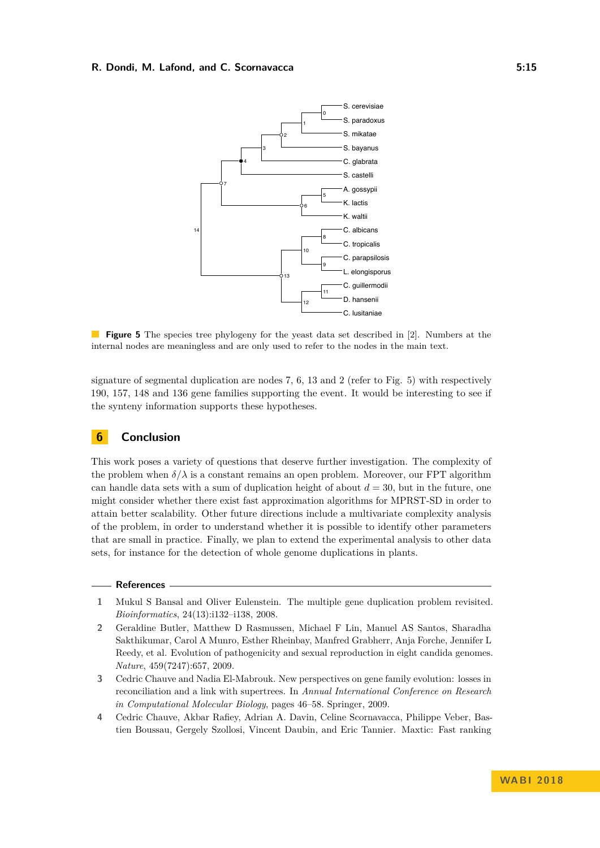<span id="page-14-4"></span>

**Figure 5** The species tree phylogeny for the yeast data set described in [\[2\]](#page-14-3). Numbers at the internal nodes are meaningless and are only used to refer to the nodes in the main text.

signature of segmental duplication are nodes 7, 6, 13 and 2 (refer to Fig. [5\)](#page-14-4) with respectively 190, 157, 148 and 136 gene families supporting the event. It would be interesting to see if the synteny information supports these hypotheses.

## **6 Conclusion**

This work poses a variety of questions that deserve further investigation. The complexity of the problem when  $\delta/\lambda$  is a constant remains an open problem. Moreover, our FPT algorithm can handle data sets with a sum of duplication height of about *d* = 30, but in the future, one might consider whether there exist fast approximation algorithms for MPRST-SD in order to attain better scalability. Other future directions include a multivariate complexity analysis of the problem, in order to understand whether it is possible to identify other parameters that are small in practice. Finally, we plan to extend the experimental analysis to other data sets, for instance for the detection of whole genome duplications in plants.

### **References**

- <span id="page-14-1"></span>**1** Mukul S Bansal and Oliver Eulenstein. The multiple gene duplication problem revisited. *Bioinformatics*, 24(13):i132–i138, 2008.
- <span id="page-14-3"></span>**2** Geraldine Butler, Matthew D Rasmussen, Michael F Lin, Manuel AS Santos, Sharadha Sakthikumar, Carol A Munro, Esther Rheinbay, Manfred Grabherr, Anja Forche, Jennifer L Reedy, et al. Evolution of pathogenicity and sexual reproduction in eight candida genomes. *Nature*, 459(7247):657, 2009.
- <span id="page-14-2"></span>**3** Cedric Chauve and Nadia El-Mabrouk. New perspectives on gene family evolution: losses in reconciliation and a link with supertrees. In *Annual International Conference on Research in Computational Molecular Biology*, pages 46–58. Springer, 2009.
- <span id="page-14-0"></span>**4** Cedric Chauve, Akbar Rafiey, Adrian A. Davin, Celine Scornavacca, Philippe Veber, Bastien Boussau, Gergely Szollosi, Vincent Daubin, and Eric Tannier. Maxtic: Fast ranking